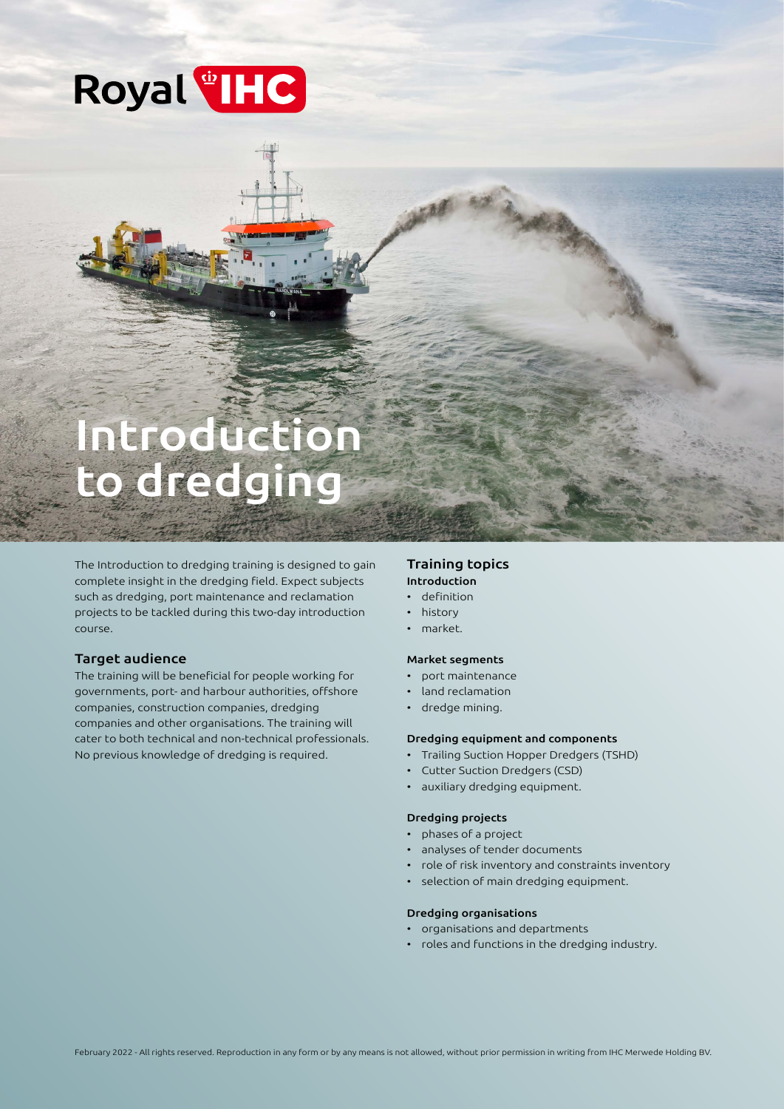## Royal<sup>th</sup>IHC

# Introduction to dredging

The Introduction to dredging training is designed to gain complete insight in the dredging field. Expect subjects such as dredging, port maintenance and reclamation projects to be tackled during this two-day introduction course.

## Target audience

The training will be beneficial for people working for governments, port- and harbour authorities, offshore companies, construction companies, dredging companies and other organisations. The training will cater to both technical and non-technical professionals. No previous knowledge of dredging is required.

## Training topics Introduction

## • definition

- history
- market.

#### Market segments

- port maintenance
- land reclamation
- dredge mining.

#### Dredging equipment and components

- Trailing Suction Hopper Dredgers (TSHD)
- Cutter Suction Dredgers (CSD)
- auxiliary dredging equipment.

#### Dredging projects

- phases of a project
- analyses of tender documents
- role of risk inventory and constraints inventory
- selection of main dredging equipment.

#### Dredging organisations

- organisations and departments
- roles and functions in the dredging industry.